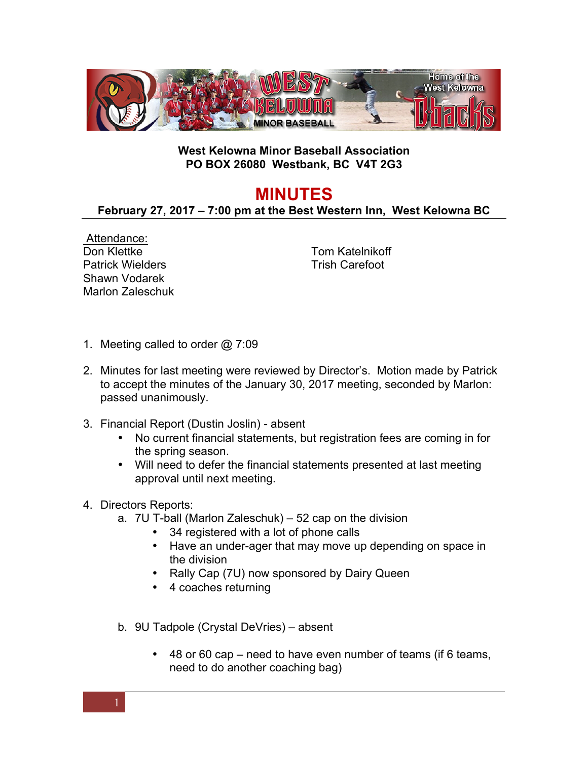

## **West Kelowna Minor Baseball Association PO BOX 26080 Westbank, BC V4T 2G3**

## **MINUTES**

## **February 27, 2017 – 7:00 pm at the Best Western Inn, West Kelowna BC**

Attendance: Don Klettke Patrick Wielders Shawn Vodarek Marlon Zaleschuk

Tom Katelnikoff Trish Carefoot

- 1. Meeting called to order @ 7:09
- 2. Minutes for last meeting were reviewed by Director's. Motion made by Patrick to accept the minutes of the January 30, 2017 meeting, seconded by Marlon: passed unanimously.
- 3. Financial Report (Dustin Joslin) absent
	- No current financial statements, but registration fees are coming in for the spring season.
	- Will need to defer the financial statements presented at last meeting approval until next meeting.
- 4. Directors Reports:
	- a. 7U T-ball (Marlon Zaleschuk) 52 cap on the division
		- 34 registered with a lot of phone calls
		- Have an under-ager that may move up depending on space in the division
		- Rally Cap (7U) now sponsored by Dairy Queen
		- 4 coaches returning
	- b. 9U Tadpole (Crystal DeVries) absent
		- 48 or 60 cap need to have even number of teams (if 6 teams, need to do another coaching bag)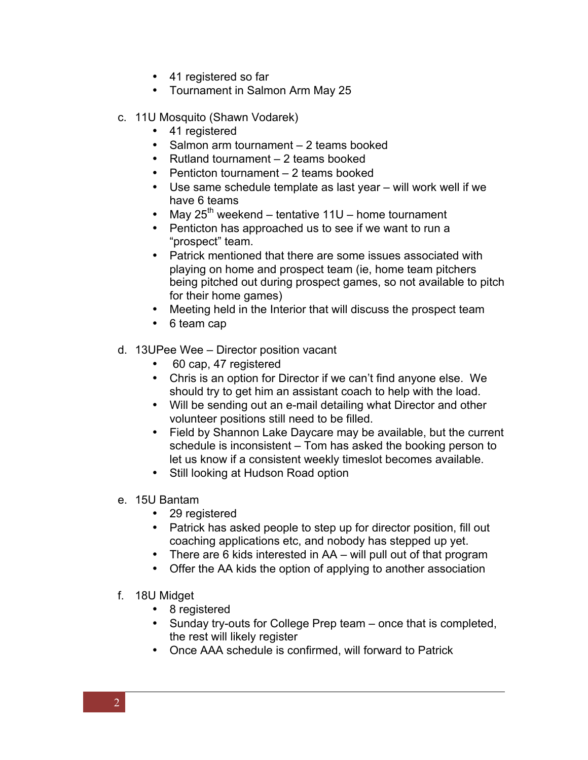- 41 registered so far
- Tournament in Salmon Arm May 25
- c. 11U Mosquito (Shawn Vodarek)
	- 41 registered
	- Salmon arm tournament 2 teams booked
	- Rutland tournament 2 teams booked
	- Penticton tournament 2 teams booked
	- Use same schedule template as last year will work well if we have 6 teams
	- May  $25^{th}$  weekend tentative 11U home tournament
	- Penticton has approached us to see if we want to run a "prospect" team.
	- Patrick mentioned that there are some issues associated with playing on home and prospect team (ie, home team pitchers being pitched out during prospect games, so not available to pitch for their home games)
	- Meeting held in the Interior that will discuss the prospect team
	- 6 team cap
- d. 13UPee Wee Director position vacant
	- 60 cap, 47 registered
	- Chris is an option for Director if we can't find anyone else. We should try to get him an assistant coach to help with the load.
	- Will be sending out an e-mail detailing what Director and other volunteer positions still need to be filled.
	- Field by Shannon Lake Daycare may be available, but the current schedule is inconsistent – Tom has asked the booking person to let us know if a consistent weekly timeslot becomes available.
	- Still looking at Hudson Road option
- e. 15U Bantam
	- 29 registered
	- Patrick has asked people to step up for director position, fill out coaching applications etc, and nobody has stepped up yet.
	- There are 6 kids interested in AA will pull out of that program
	- Offer the AA kids the option of applying to another association
- f. 18U Midget
	- 8 registered
	- Sunday try-outs for College Prep team once that is completed, the rest will likely register
	- Once AAA schedule is confirmed, will forward to Patrick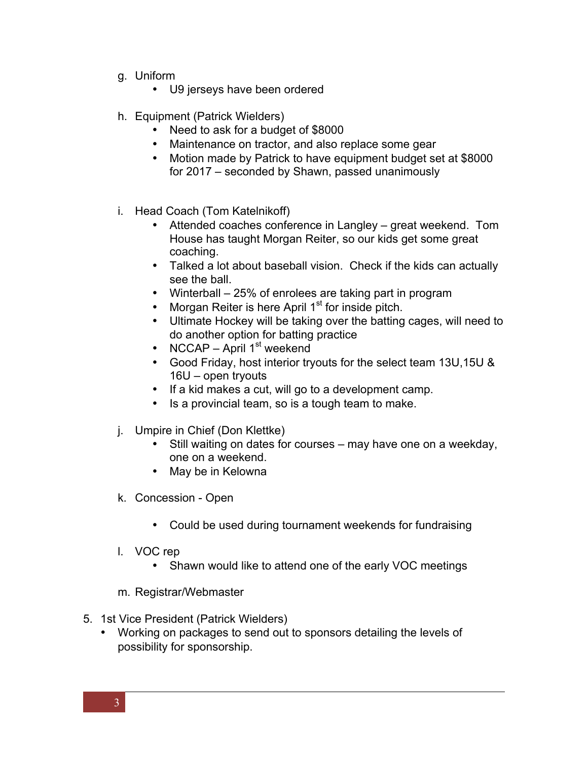- g. Uniform
	- U9 jerseys have been ordered
- h. Equipment (Patrick Wielders)
	- Need to ask for a budget of \$8000
	- Maintenance on tractor, and also replace some gear
	- Motion made by Patrick to have equipment budget set at \$8000 for 2017 – seconded by Shawn, passed unanimously
- i. Head Coach (Tom Katelnikoff)
	- Attended coaches conference in Langley great weekend. Tom House has taught Morgan Reiter, so our kids get some great coaching.
	- Talked a lot about baseball vision. Check if the kids can actually see the ball.
	- Winterball 25% of enrolees are taking part in program
	- Morgan Reiter is here April  $1<sup>st</sup>$  for inside pitch.
	- Ultimate Hockey will be taking over the batting cages, will need to do another option for batting practice
	- NCCAP April  $1<sup>st</sup>$  weekend
	- Good Friday, host interior tryouts for the select team 13U,15U & 16U – open tryouts
	- If a kid makes a cut, will go to a development camp.
	- Is a provincial team, so is a tough team to make.
- j. Umpire in Chief (Don Klettke)
	- Still waiting on dates for courses may have one on a weekday, one on a weekend.
	- May be in Kelowna
- k. Concession Open
	- Could be used during tournament weekends for fundraising
- l. VOC rep
	- Shawn would like to attend one of the early VOC meetings
- m. Registrar/Webmaster
- 5. 1st Vice President (Patrick Wielders)
	- Working on packages to send out to sponsors detailing the levels of possibility for sponsorship.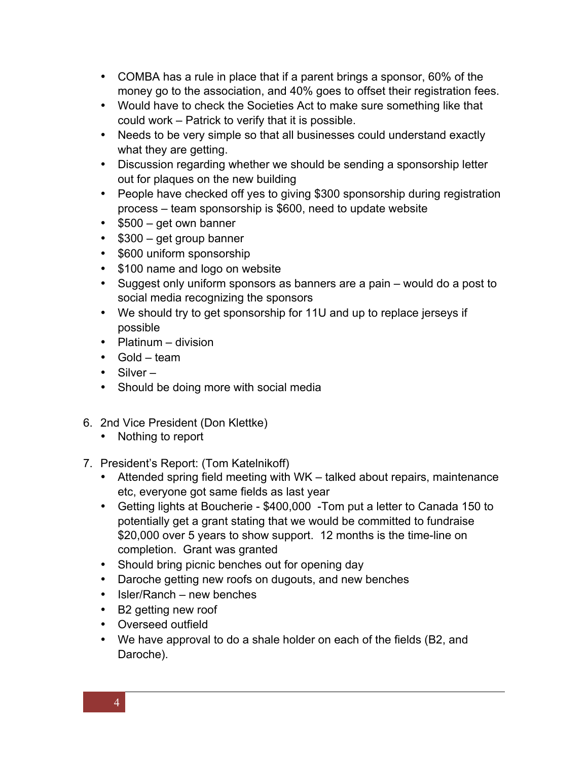- COMBA has a rule in place that if a parent brings a sponsor, 60% of the money go to the association, and 40% goes to offset their registration fees.
- Would have to check the Societies Act to make sure something like that could work – Patrick to verify that it is possible.
- Needs to be very simple so that all businesses could understand exactly what they are getting.
- Discussion regarding whether we should be sending a sponsorship letter out for plaques on the new building
- People have checked off yes to giving \$300 sponsorship during registration process – team sponsorship is \$600, need to update website
- \$500 get own banner
- \$300 get group banner
- \$600 uniform sponsorship
- \$100 name and logo on website
- Suggest only uniform sponsors as banners are a pain would do a post to social media recognizing the sponsors
- We should try to get sponsorship for 11U and up to replace jerseys if possible
- Platinum division
- Gold team
- Silver –
- Should be doing more with social media
- 6. 2nd Vice President (Don Klettke)
	- Nothing to report
- 7. President's Report: (Tom Katelnikoff)
	- Attended spring field meeting with WK talked about repairs, maintenance etc, everyone got same fields as last year
	- Getting lights at Boucherie \$400,000 -Tom put a letter to Canada 150 to potentially get a grant stating that we would be committed to fundraise \$20,000 over 5 years to show support. 12 months is the time-line on completion. Grant was granted
	- Should bring picnic benches out for opening day
	- Daroche getting new roofs on dugouts, and new benches
	- Isler/Ranch new benches
	- B2 getting new roof
	- Overseed outfield
	- We have approval to do a shale holder on each of the fields (B2, and Daroche).